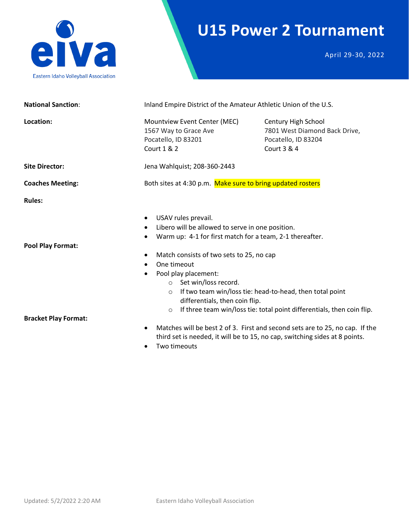

## **U15 Power 2 Tournament**

April 29-30, 2022

| <b>National Sanction:</b>                                                                                                                                                                                                                                                                                                                                                                                             | Inland Empire District of the Amateur Athletic Union of the U.S.                                                                                                                                                                                                                        |                                                                                            |  |  |  |
|-----------------------------------------------------------------------------------------------------------------------------------------------------------------------------------------------------------------------------------------------------------------------------------------------------------------------------------------------------------------------------------------------------------------------|-----------------------------------------------------------------------------------------------------------------------------------------------------------------------------------------------------------------------------------------------------------------------------------------|--------------------------------------------------------------------------------------------|--|--|--|
| Location:                                                                                                                                                                                                                                                                                                                                                                                                             | Mountview Event Center (MEC)<br>1567 Way to Grace Ave<br>Pocatello, ID 83201<br><b>Court 1 &amp; 2</b>                                                                                                                                                                                  | Century High School<br>7801 West Diamond Back Drive,<br>Pocatello, ID 83204<br>Court 3 & 4 |  |  |  |
| <b>Site Director:</b>                                                                                                                                                                                                                                                                                                                                                                                                 | Jena Wahlquist; 208-360-2443                                                                                                                                                                                                                                                            |                                                                                            |  |  |  |
| <b>Coaches Meeting:</b>                                                                                                                                                                                                                                                                                                                                                                                               | Both sites at 4:30 p.m. Make sure to bring updated rosters                                                                                                                                                                                                                              |                                                                                            |  |  |  |
| <b>Rules:</b>                                                                                                                                                                                                                                                                                                                                                                                                         |                                                                                                                                                                                                                                                                                         |                                                                                            |  |  |  |
| <b>Pool Play Format:</b>                                                                                                                                                                                                                                                                                                                                                                                              | USAV rules prevail.<br>Libero will be allowed to serve in one position.<br>Warm up: 4-1 for first match for a team, 2-1 thereafter.<br>$\bullet$<br>Match consists of two sets to 25, no cap<br>One timeout<br>$\bullet$<br>Pool play placement:<br>$\bullet$<br>○ Set win/loss record. |                                                                                            |  |  |  |
| If two team win/loss tie: head-to-head, then total point<br>$\circ$<br>differentials, then coin flip.<br>If three team win/loss tie: total point differentials, then coin flip.<br>$\circ$<br><b>Bracket Play Format:</b><br>Matches will be best 2 of 3. First and second sets are to 25, no cap. If the<br>$\bullet$<br>third set is needed, it will be to 15, no cap, switching sides at 8 points.<br>Two timeouts |                                                                                                                                                                                                                                                                                         |                                                                                            |  |  |  |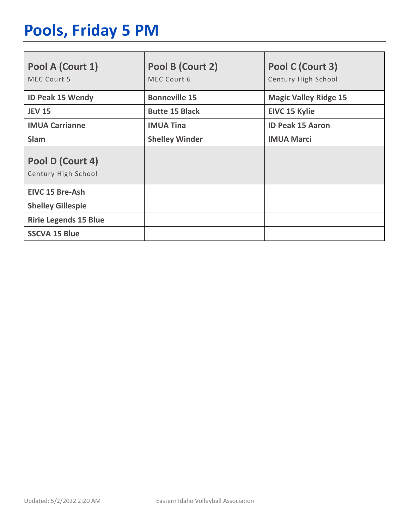# **Pools, Friday 5 PM**

| Pool A (Court 1)<br>MEC Court 5         | Pool B (Court 2)<br>MEC Court 6 | Pool C (Court 3)<br>Century High School |
|-----------------------------------------|---------------------------------|-----------------------------------------|
| <b>ID Peak 15 Wendy</b>                 | <b>Bonneville 15</b>            | <b>Magic Valley Ridge 15</b>            |
| <b>JEV 15</b>                           | <b>Butte 15 Black</b>           | <b>EIVC 15 Kylie</b>                    |
| <b>IMUA Carrianne</b>                   | <b>IMUA Tina</b>                | <b>ID Peak 15 Aaron</b>                 |
| <b>Slam</b>                             | <b>Shelley Winder</b>           | <b>IMUA Marci</b>                       |
| Pool D (Court 4)<br>Century High School |                                 |                                         |
| <b>EIVC 15 Bre-Ash</b>                  |                                 |                                         |
| <b>Shelley Gillespie</b>                |                                 |                                         |
| <b>Ririe Legends 15 Blue</b>            |                                 |                                         |
| <b>SSCVA 15 Blue</b>                    |                                 |                                         |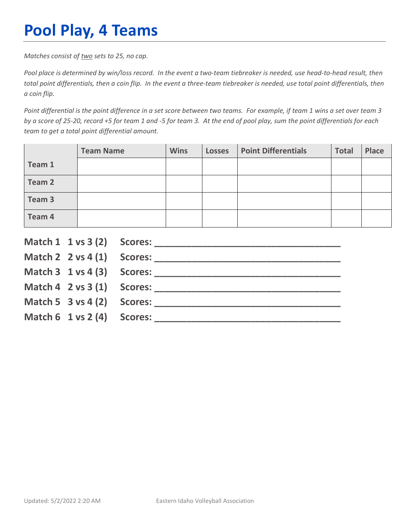# **Pool Play, 4 Teams**

*Matches consist of two sets to 25, no cap.*

*Pool place is determined by win/loss record. In the event a two-team tiebreaker is needed, use head-to-head result, then total point differentials, then a coin flip. In the event a three-team tiebreaker is needed, use total point differentials, then a coin flip.*

*Point differential is the point difference in a set score between two teams. For example, if team 1 wins a set over team 3 by a score of 25-20, record +5 for team 1 and -5 for team 3. At the end of pool play, sum the point differentials for each team to get a total point differential amount.* 

|        | <b>Team Name</b> | <b>Wins</b> | <b>Losses</b> | <b>Point Differentials</b> | <b>Total</b> | <b>Place</b> |
|--------|------------------|-------------|---------------|----------------------------|--------------|--------------|
| Team 1 |                  |             |               |                            |              |              |
| Team 2 |                  |             |               |                            |              |              |
| Team 3 |                  |             |               |                            |              |              |
| Team 4 |                  |             |               |                            |              |              |

|                                        | Match $2 \times 4(1)$ Scores:              |
|----------------------------------------|--------------------------------------------|
|                                        |                                            |
|                                        | Match $4 \quad 2 \text{ vs } 3(1)$ Scores: |
| Match 5 $3$ vs 4 (2) Scores:           |                                            |
| Match $6 \t1 \text{ vs } 2(4)$ Scores: |                                            |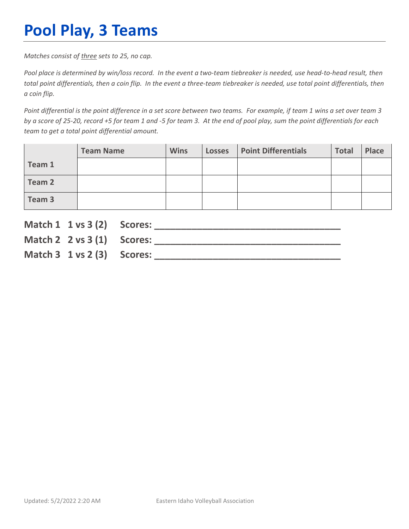# **Pool Play, 3 Teams**

*Matches consist of three sets to 25, no cap.*

*Pool place is determined by win/loss record. In the event a two-team tiebreaker is needed, use head-to-head result, then total point differentials, then a coin flip. In the event a three-team tiebreaker is needed, use total point differentials, then a coin flip.*

*Point differential is the point difference in a set score between two teams. For example, if team 1 wins a set over team 3 by a score of 25-20, record +5 for team 1 and -5 for team 3. At the end of pool play, sum the point differentials for each team to get a total point differential amount.* 

|        | <b>Team Name</b> | <b>Wins</b> | <b>Losses</b> | <b>Point Differentials</b> | <b>Total</b> | Place |
|--------|------------------|-------------|---------------|----------------------------|--------------|-------|
| Team 1 |                  |             |               |                            |              |       |
| Team 2 |                  |             |               |                            |              |       |
| Team 3 |                  |             |               |                            |              |       |

| Match 1 1 vs 3 (2) Scores:               |                               |
|------------------------------------------|-------------------------------|
|                                          | Match $2 \times 3(1)$ Scores: |
| Match $3 \t1 \text{ vs } 2 \t3)$ Scores: |                               |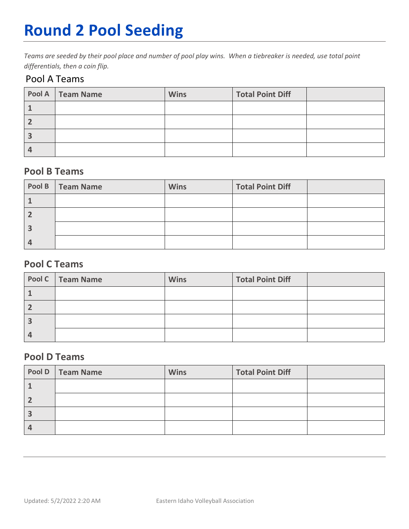# **Round 2 Pool Seeding**

*Teams are seeded by their pool place and number of pool play wins. When a tiebreaker is needed, use total point differentials, then a coin flip.* 

### Pool A Teams

| Pool A   Team Name | <b>Wins</b> | <b>Total Point Diff</b> |  |
|--------------------|-------------|-------------------------|--|
|                    |             |                         |  |
|                    |             |                         |  |
|                    |             |                         |  |
|                    |             |                         |  |

### **Pool B Teams**

| Pool B   Team Name | <b>Wins</b> | <b>Total Point Diff</b> |  |
|--------------------|-------------|-------------------------|--|
|                    |             |                         |  |
|                    |             |                         |  |
|                    |             |                         |  |
|                    |             |                         |  |

### **Pool C Teams**

| Pool C   Team Name | <b>Wins</b> | <b>Total Point Diff</b> |  |
|--------------------|-------------|-------------------------|--|
|                    |             |                         |  |
|                    |             |                         |  |
|                    |             |                         |  |
|                    |             |                         |  |

#### **Pool D Teams**

| Pool D   Team Name | <b>Wins</b> | <b>Total Point Diff</b> |  |
|--------------------|-------------|-------------------------|--|
|                    |             |                         |  |
|                    |             |                         |  |
|                    |             |                         |  |
|                    |             |                         |  |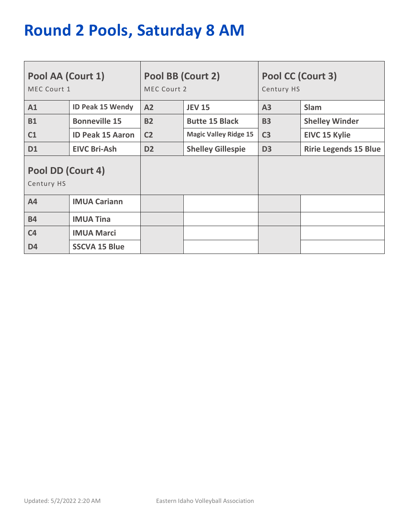# **Round 2 Pools, Saturday 8 AM**

| Pool AA (Court 1)<br>MEC Court 1 |                         | Pool BB (Court 2)<br>MEC Court 2           |                              | Pool CC (Court 3)<br>Century HS |                              |  |
|----------------------------------|-------------------------|--------------------------------------------|------------------------------|---------------------------------|------------------------------|--|
| A1                               | <b>ID Peak 15 Wendy</b> | A2                                         | <b>JEV 15</b>                | A3                              | <b>Slam</b>                  |  |
| <b>B1</b>                        | <b>Bonneville 15</b>    | <b>B2</b>                                  | <b>Butte 15 Black</b>        | <b>B3</b>                       | <b>Shelley Winder</b>        |  |
| C1                               | <b>ID Peak 15 Aaron</b> | C <sub>2</sub>                             | <b>Magic Valley Ridge 15</b> | C <sub>3</sub>                  | <b>EIVC 15 Kylie</b>         |  |
| <b>D1</b>                        | <b>EIVC Bri-Ash</b>     | D <sub>2</sub><br><b>Shelley Gillespie</b> |                              | D <sub>3</sub>                  | <b>Ririe Legends 15 Blue</b> |  |
| Pool DD (Court 4)<br>Century HS  |                         |                                            |                              |                                 |                              |  |
| A4                               | <b>IMUA Cariann</b>     |                                            |                              |                                 |                              |  |
| <b>B4</b>                        | <b>IMUA Tina</b>        |                                            |                              |                                 |                              |  |
| C <sub>4</sub>                   | <b>IMUA Marci</b>       |                                            |                              |                                 |                              |  |
| D <sub>4</sub>                   | <b>SSCVA 15 Blue</b>    |                                            |                              |                                 |                              |  |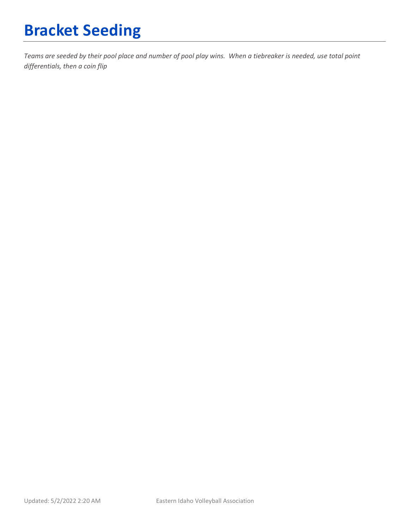# **Bracket Seeding**

*Teams are seeded by their pool place and number of pool play wins. When a tiebreaker is needed, use total point differentials, then a coin flip*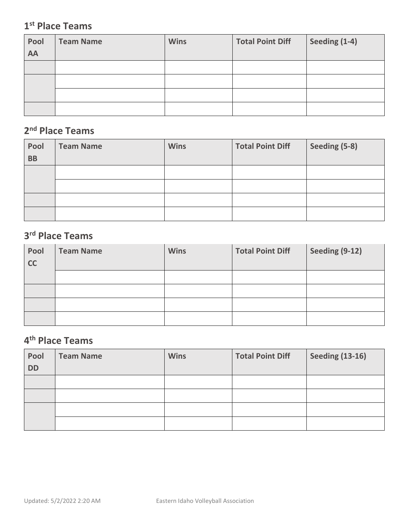### **1st Place Teams**

| Pool<br>AA | <b>Team Name</b> | <b>Wins</b> | <b>Total Point Diff</b> | Seeding (1-4) |
|------------|------------------|-------------|-------------------------|---------------|
|            |                  |             |                         |               |
|            |                  |             |                         |               |
|            |                  |             |                         |               |
|            |                  |             |                         |               |

### **2nd Place Teams**

| Pool<br><b>BB</b> | <b>Team Name</b> | <b>Wins</b> | <b>Total Point Diff</b> | Seeding (5-8) |
|-------------------|------------------|-------------|-------------------------|---------------|
|                   |                  |             |                         |               |
|                   |                  |             |                         |               |
|                   |                  |             |                         |               |
|                   |                  |             |                         |               |

### **3rd Place Teams**

| Pool<br>cc | <b>Team Name</b> | <b>Wins</b> | <b>Total Point Diff</b> | Seeding (9-12) |
|------------|------------------|-------------|-------------------------|----------------|
|            |                  |             |                         |                |
|            |                  |             |                         |                |
|            |                  |             |                         |                |
|            |                  |             |                         |                |

## **4th Place Teams**

| Pool      | <b>Team Name</b> | <b>Wins</b> | <b>Total Point Diff</b> | <b>Seeding (13-16)</b> |
|-----------|------------------|-------------|-------------------------|------------------------|
| <b>DD</b> |                  |             |                         |                        |
|           |                  |             |                         |                        |
|           |                  |             |                         |                        |
|           |                  |             |                         |                        |
|           |                  |             |                         |                        |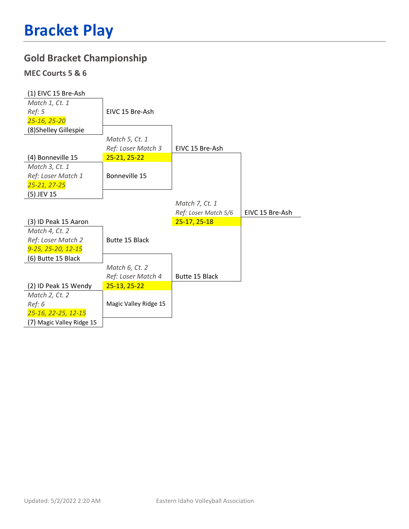### **Gold Bracket Championship**

#### **MEC Courts 5 & 6**

| (1) EIVC 15 Bre-Ash   |                       |                      |                 |
|-----------------------|-----------------------|----------------------|-----------------|
| Match 1, Ct. 1        |                       |                      |                 |
| Ref: 5                | EIVC 15 Bre-Ash       |                      |                 |
| 25-16, 25-20          |                       |                      |                 |
| (8) Shelley Gillespie |                       |                      |                 |
|                       | Match 5, Ct. 1        |                      |                 |
|                       | Ref: Loser Match 3    | EIVC 15 Bre-Ash      |                 |
| (4) Bonneville 15     | $25 - 21, 25 - 22$    |                      |                 |
| Match 3, Ct. 1        |                       |                      |                 |
| Ref: Loser Match 1    | Bonneville 15         |                      |                 |
| 25-21, 27-25          |                       |                      |                 |
| (5) JEV 15            |                       |                      |                 |
|                       |                       | Match 7, Ct. 1       |                 |
|                       |                       |                      |                 |
|                       |                       | Ref: Loser Match 5/6 | EIVC 15 Bre-Ash |
| (3) ID Peak 15 Aaron  |                       | 25-17, 25-18         |                 |
| Match 4, Ct. 2        |                       |                      |                 |
| Ref: Loser Match 2    | Butte 15 Black        |                      |                 |
| 9-25, 25-20, 12-15    |                       |                      |                 |
| (6) Butte 15 Black    |                       |                      |                 |
|                       | Match 6, Ct. 2        |                      |                 |
|                       | Ref: Loser Match 4    | Butte 15 Black       |                 |
| (2) ID Peak 15 Wendy  | $25-13, 25-22$        |                      |                 |
| Match 2, Ct. 2        |                       |                      |                 |
| Ref: 6                | Magic Valley Ridge 15 |                      |                 |
| 25-16, 22-25, 12-15   |                       |                      |                 |